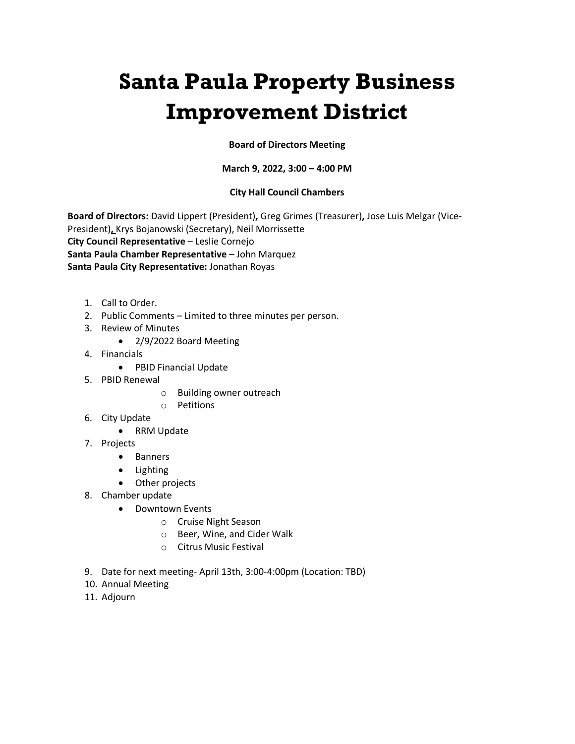# **Santa Paula Property Business Improvement District**

## **Board of Directors Meeting**

## **March 9, 2022, 3:00 – 4:00 PM**

## **City Hall Council Chambers**

**Board of Directors:** David Lippert (President)**,** Greg Grimes (Treasurer)**,** Jose Luis Melgar (Vice-President)**,** Krys Bojanowski (Secretary), Neil Morrissette **City Council Representative** – Leslie Cornejo **Santa Paula Chamber Representative** – John Marquez **Santa Paula City Representative:** Jonathan Royas

- 1. Call to Order.
- 2. Public Comments Limited to three minutes per person.
- 3. Review of Minutes
	- 2/9/2022 Board Meeting
- 4. Financials
	- PBID Financial Update
- 5. PBID Renewal
	- o Building owner outreach
	- o Petitions
- 6. City Update
	- RRM Update
- 7. Projects
	- Banners
	- Lighting
	- Other projects
- 8. Chamber update
	- Downtown Events
		- o Cruise Night Season
		- o Beer, Wine, and Cider Walk
		- o Citrus Music Festival
- 9. Date for next meeting- April 13th, 3:00-4:00pm (Location: TBD)
- 10. Annual Meeting
- 11. Adjourn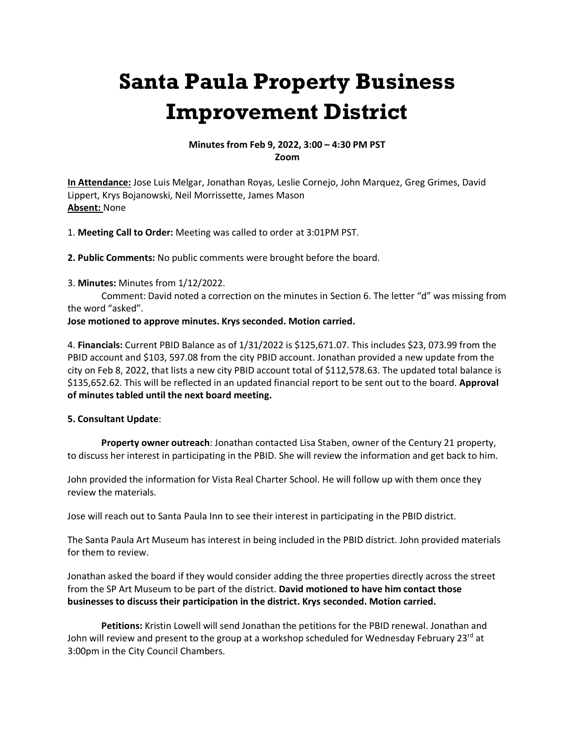## **Santa Paula Property Business Improvement District**

### **Minutes from Feb 9, 2022, 3:00 – 4:30 PM PST Zoom**

**In Attendance:** Jose Luis Melgar, Jonathan Royas, Leslie Cornejo, John Marquez, Greg Grimes, David Lippert, Krys Bojanowski, Neil Morrissette, James Mason **Absent:** None

1. **Meeting Call to Order:** Meeting was called to order at 3:01PM PST.

**2. Public Comments:** No public comments were brought before the board.

3. **Minutes:** Minutes from 1/12/2022.

Comment: David noted a correction on the minutes in Section 6. The letter "d" was missing from the word "asked".

#### **Jose motioned to approve minutes. Krys seconded. Motion carried.**

4. **Financials:** Current PBID Balance as of 1/31/2022 is \$125,671.07. This includes \$23, 073.99 from the PBID account and \$103, 597.08 from the city PBID account. Jonathan provided a new update from the city on Feb 8, 2022, that lists a new city PBID account total of \$112,578.63. The updated total balance is \$135,652.62. This will be reflected in an updated financial report to be sent out to the board. **Approval of minutes tabled until the next board meeting.**

#### **5. Consultant Update**:

**Property owner outreach**: Jonathan contacted Lisa Staben, owner of the Century 21 property, to discuss her interest in participating in the PBID. She will review the information and get back to him.

John provided the information for Vista Real Charter School. He will follow up with them once they review the materials.

Jose will reach out to Santa Paula Inn to see their interest in participating in the PBID district.

The Santa Paula Art Museum has interest in being included in the PBID district. John provided materials for them to review.

Jonathan asked the board if they would consider adding the three properties directly across the street from the SP Art Museum to be part of the district. **David motioned to have him contact those businesses to discuss their participation in the district. Krys seconded. Motion carried.**

**Petitions:** Kristin Lowell will send Jonathan the petitions for the PBID renewal. Jonathan and John will review and present to the group at a workshop scheduled for Wednesday February 23<sup>rd</sup> at 3:00pm in the City Council Chambers.